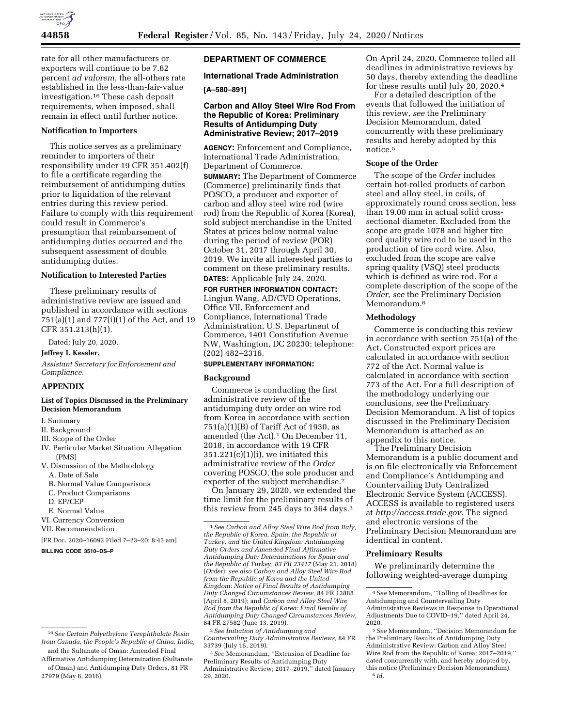

rate for all other manufacturers or exporters will continue to be 7.62 percent *ad valorem,* the all-others rate established in the less-than-fair-value investigation.16 These cash deposit requirements, when imposed, shall remain in effect until further notice.

#### **Notification to Importers**

This notice serves as a preliminary reminder to importers of their responsibility under 19 CFR 351.402(f) to file a certificate regarding the reimbursement of antidumping duties prior to liquidation of the relevant entries during this review period. Failure to comply with this requirement could result in Commerce's presumption that reimbursement of antidumping duties occurred and the subsequent assessment of double antidumping duties.

# **Notification to Interested Parties**

These preliminary results of administrative review are issued and published in accordance with sections 751(a)(1) and 777(i)(1) of the Act, and 19 CFR 351.213(h)(1).

Dated: July 20, 2020.

## **Jeffrey I. Kessler,**

*Assistant Secretary for Enforcement and Compliance.* 

## **APPENDIX**

#### **List of Topics Discussed in the Preliminary Decision Memorandum**

- I. Summary
- II. Background
- III. Scope of the Order
- IV. Particular Market Situation Allegation (PMS)
- V. Discussion of the Methodology
- A. Date of Sale
- B. Normal Value Comparisons
- C. Product Comparisons
- D. EP/CEP
- E. Normal Value
- VI. Currency Conversion
- VII. Recommendation

[FR Doc. 2020–16092 Filed 7–23–20; 8:45 am]

**BILLING CODE 3510–DS–P** 

# **DEPARTMENT OF COMMERCE**

## **International Trade Administration**

## **[A–580–891]**

## **Carbon and Alloy Steel Wire Rod From the Republic of Korea: Preliminary Results of Antidumping Duty Administrative Review; 2017–2019**

**AGENCY:** Enforcement and Compliance, International Trade Administration, Department of Commerce.

**SUMMARY:** The Department of Commerce (Commerce) preliminarily finds that POSCO, a producer and exporter of carbon and alloy steel wire rod (wire rod) from the Republic of Korea (Korea), sold subject merchandise in the United States at prices below normal value during the period of review (POR) October 31, 2017 through April 30, 2019. We invite all interested parties to comment on these preliminary results.

**DATES:** Applicable July 24, 2020.

**FOR FURTHER INFORMATION CONTACT:**  Lingjun Wang, AD/CVD Operations, Office VII, Enforcement and Compliance, International Trade Administration, U.S. Department of Commerce, 1401 Constitution Avenue NW, Washington, DC 20230; telephone: (202) 482–2316.

# **SUPPLEMENTARY INFORMATION:**

#### **Background**

Commerce is conducting the first administrative review of the antidumping duty order on wire rod from Korea in accordance with section 751(a)(1)(B) of Tariff Act of 1930, as amended (the Act).<sup>1</sup> On December 11, 2018, in accordance with 19 CFR  $351.221(c)(1)(i)$ , we initiated this administrative review of the *Order*  covering POSCO, the sole producer and exporter of the subject merchandise.<sup>2</sup>

On January 29, 2020, we extended the time limit for the preliminary results of this review from  $245$  days to 364 days.<sup>3</sup>

2*See Initiation of Antidumping and Countervailing Duty Administrative Reviews,* 84 FR 33739 (July 15, 2019).

3*See* Memorandum, ''Extension of Deadline for Preliminary Results of Antidumping Duty Administrative Review; 2017–2019,'' dated January 29, 2020.

On April 24, 2020, Commerce tolled all deadlines in administrative reviews by 50 days, thereby extending the deadline for these results until July 20, 2020.4

For a detailed description of the events that followed the initiation of this review, *see* the Preliminary Decision Memorandum, dated concurrently with these preliminary results and hereby adopted by this notice.5

#### **Scope of the Order**

The scope of the *Order* includes certain hot-rolled products of carbon steel and alloy steel, in coils, of approximately round cross section, less than 19.00 mm in actual solid crosssectional diameter. Excluded from the scope are grade 1078 and higher tire cord quality wire rod to be used in the production of tire cord wire. Also, excluded from the scope are valve spring quality (VSQ) steel products which is defined as wire rod. For a complete description of the scope of the *Order, see* the Preliminary Decision Memorandum.<sup>6</sup>

#### **Methodology**

Commerce is conducting this review in accordance with section 751(a) of the Act. Constructed export prices are calculated in accordance with section 772 of the Act. Normal value is calculated in accordance with section 773 of the Act. For a full description of the methodology underlying our conclusions, *see* the Preliminary Decision Memorandum. A list of topics discussed in the Preliminary Decision Memorandum is attached as an appendix to this notice.

The Preliminary Decision Memorandum is a public document and is on file electronically via Enforcement and Compliance's Antidumping and Countervailing Duty Centralized Electronic Service System (ACCESS). ACCESS is available to registered users at *[http://access.trade.gov.](http://access.trade.gov)* The signed and electronic versions of the Preliminary Decision Memorandum are identical in content.

#### **Preliminary Results**

We preliminarily determine the following weighted-average dumping

<sup>16</sup>*See Certain Polyethylene Terephthalate Resin from Canada, the People's Republic of China, India,*  and the Sultanate of Oman: Amended Final

Affirmative Antidumping Determination (Sultanate of Oman) and Antidumping Duty Orders, 81 FR 27979 (May 6, 2016).

<sup>1</sup>*See Carbon and Alloy Steel Wire Rod from Italy, the Republic of Korea, Spain, the Republic of Turkey, and the United Kingdom: Antidumping Duty Orders and Amended Final Affirmative Antidumping Duty Determinations for Spain and the Republic of Turkey, 83 FR 23417* (May 21, 2018) (*Order*); *see also Carbon and Alloy Steel Wire Rod from the Republic of Korea and the United Kingdom: Notice of Final Results of Antidumping Duty Changed Circumstances Review,* 84 FR 13888 (April 8, 2019); and *Carbon and Alloy Steel Wire Rod from the Republic of Korea: Final Results of Antidumping Duty Changed Circumstances Review,*  84 FR 27582 (June 13, 2019).

<sup>4</sup>*See* Memorandum, ''Tolling of Deadlines for Antidumping and Countervailing Duty Administrative Reviews in Response to Operational Adjustments Due to COVID–19,'' dated April 24, 2020.

<sup>5</sup>*See* Memorandum, ''Decision Memorandum for the Preliminary Results of Antidumping Duty Administrative Review: Carbon and Alloy Steel Wire Rod from the Republic of Korea; 2017–2019,'' dated concurrently with, and hereby adopted by, this notice (Preliminary Decision Memorandum). 6 *Id.*